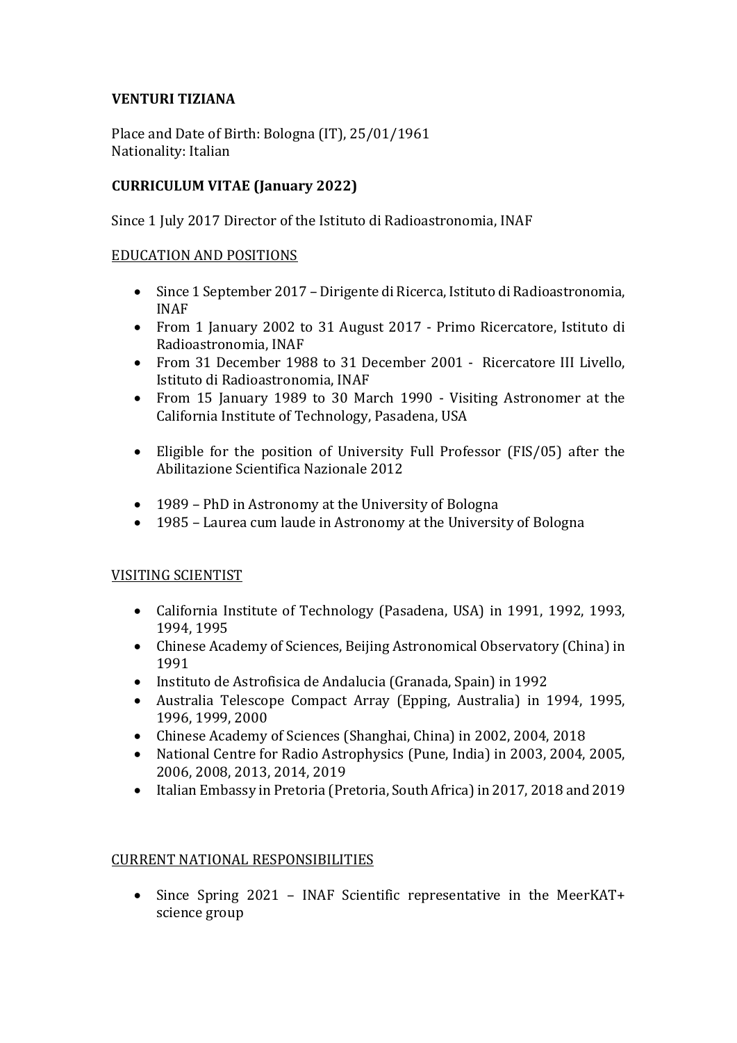## **VENTURI TIZIANA**

Place and Date of Birth: Bologna (IT), 25/01/1961 Nationality: Italian

# **CURRICULUM VITAE (January 2022)**

Since 1 July 2017 Director of the Istituto di Radioastronomia, INAF

#### EDUCATION AND POSITIONS

- Since 1 September 2017 Dirigente di Ricerca, Istituto di Radioastronomia, INAF
- From 1 January 2002 to 31 August 2017 Primo Ricercatore, Istituto di Radioastronomia, INAF
- From 31 December 1988 to 31 December 2001 Ricercatore III Livello, Istituto di Radioastronomia, INAF
- From 15 January 1989 to 30 March 1990 Visiting Astronomer at the California Institute of Technology, Pasadena, USA
- Eligible for the position of University Full Professor (FIS/05) after the Abilitazione Scientifica Nazionale 2012
- 1989 PhD in Astronomy at the University of Bologna
- 1985 Laurea cum laude in Astronomy at the University of Bologna

### **VISITING SCIENTIST**

- California Institute of Technology (Pasadena, USA) in 1991, 1992, 1993, 1994, 1995
- Chinese Academy of Sciences, Beijing Astronomical Observatory (China) in 1991
- Instituto de Astrofisica de Andalucia (Granada, Spain) in 1992
- Australia Telescope Compact Array (Epping, Australia) in 1994, 1995, 1996, 1999, 2000
- Chinese Academy of Sciences (Shanghai, China) in 2002, 2004, 2018
- National Centre for Radio Astrophysics (Pune, India) in 2003, 2004, 2005, 2006, 2008, 2013, 2014, 2019
- Italian Embassy in Pretoria (Pretoria, South Africa) in 2017, 2018 and 2019

### CURRENT NATIONAL RESPONSIBILITIES

• Since Spring 2021 - INAF Scientific representative in the MeerKAT+ science group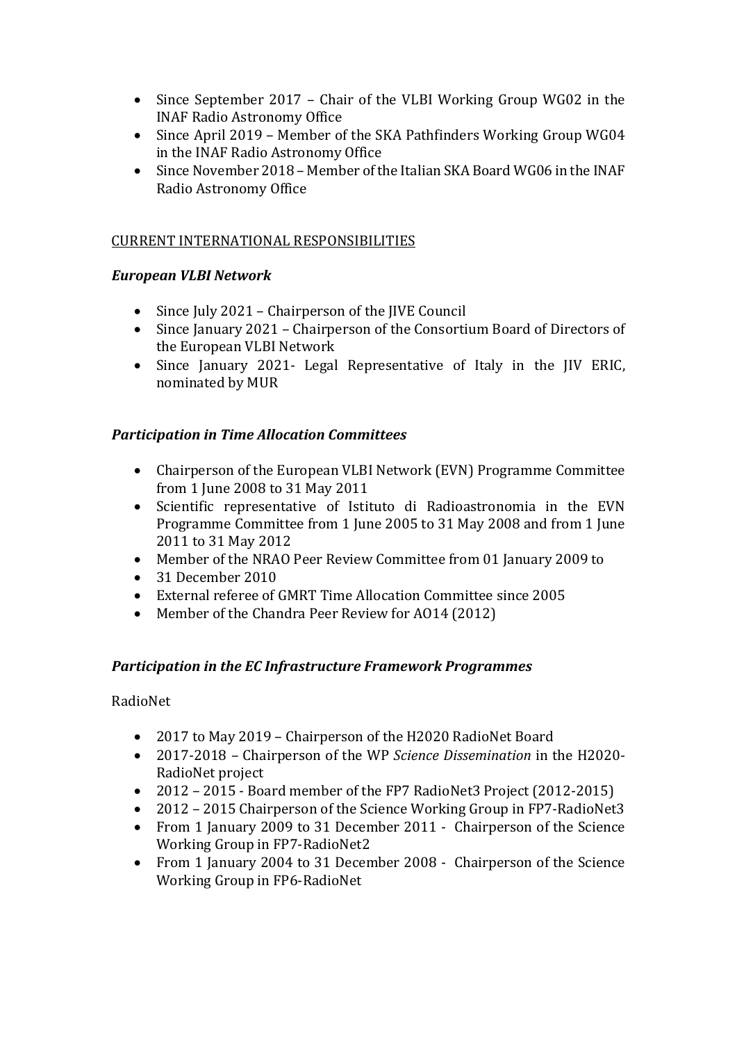- Since September 2017 Chair of the VLBI Working Group WG02 in the INAF Radio Astronomy Office
- Since April 2019 Member of the SKA Pathfinders Working Group WG04 in the INAF Radio Astronomy Office
- $\bullet$  Since November 2018 Member of the Italian SKA Board WG06 in the INAF Radio Astronomy Office

### CURRENT INTERNATIONAL RESPONSIBILITIES

### *European VLBI Network*

- Since July 2021 Chairperson of the JIVE Council
- Since January 2021 Chairperson of the Consortium Board of Directors of the European VLBI Network
- Since January 2021- Legal Representative of Italy in the IIV ERIC, nominated by MUR

### *Participation in Time Allocation Committees*

- Chairperson of the European VLBI Network (EVN) Programme Committee from 1 June 2008 to 31 May 2011
- Scientific representative of Istituto di Radioastronomia in the EVN Programme Committee from 1 June 2005 to 31 May 2008 and from 1 June 2011 to 31 May 2012
- Member of the NRAO Peer Review Committee from 01 January 2009 to
- 31 December 2010
- External referee of GMRT Time Allocation Committee since 2005
- Member of the Chandra Peer Review for A014 (2012)

### **Participation in the EC Infrastructure Framework Programmes**

RadioNet

- 2017 to May 2019 Chairperson of the H2020 RadioNet Board
- 2017-2018 Chairperson of the WP *Science Dissemination* in the H2020-RadioNet project
- 2012 2015 Board member of the FP7 RadioNet3 Project (2012-2015)
- 2012 2015 Chairperson of the Science Working Group in FP7-RadioNet3
- From 1 January 2009 to 31 December 2011 Chairperson of the Science Working Group in FP7-RadioNet2
- From 1 January 2004 to 31 December 2008 Chairperson of the Science Working Group in FP6-RadioNet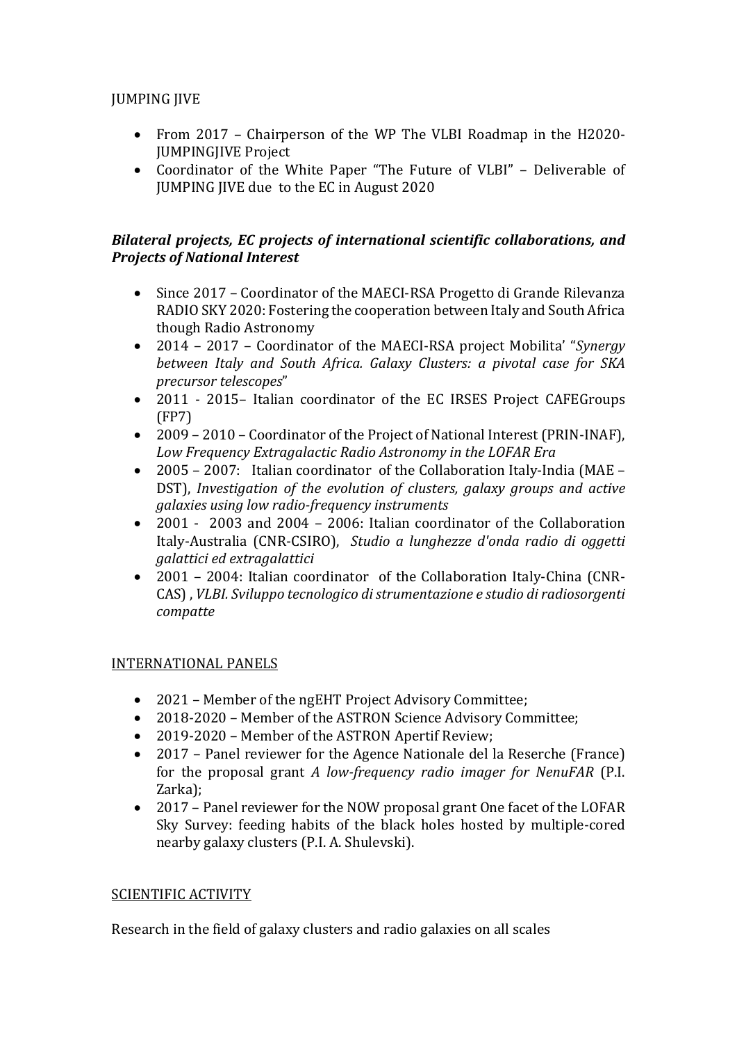# **JUMPING JIVE**

- From 2017 Chairperson of the WP The VLBI Roadmap in the H2020-**JUMPINGJIVE Project**
- Coordinator of the White Paper "The Future of VLBI" Deliverable of JUMPING JIVE due to the EC in August 2020

### Bilateral projects, EC projects of international scientific collaborations, and **Projects of National Interest**

- Since 2017 Coordinator of the MAECI-RSA Progetto di Grande Rilevanza RADIO SKY 2020: Fostering the cooperation between Italy and South Africa though Radio Astronomy
- 2014 2017 Coordinator of the MAECI-RSA project Mobilita' "Synergy *between Italy and South Africa. Galaxy Clusters: a pivotal case for SKA precursor telescopes*"
- 2011 2015- Italian coordinator of the EC IRSES Project CAFEGroups (FP7)
- 2009 2010 Coordinator of the Project of National Interest (PRIN-INAF), Low Frequency Extragalactic Radio Astronomy in the LOFAR Era
- 2005 2007: Italian coordinator of the Collaboration Italy-India (MAE DST), *Investigation of the evolution of clusters, galaxy groups and active galaxies using low radio-frequency instruments*
- 2001 2003 and 2004 2006: Italian coordinator of the Collaboration Italy-Australia (CNR-CSIRO), Studio a lunghezze d'onda radio di oggetti *galattici ed extragalattici*
- 2001 2004: Italian coordinator of the Collaboration Italy-China (CNR-CAS), *VLBI.* Sviluppo tecnologico di strumentazione e studio di radiosorgenti *compatte*

# INTERNATIONAL PANELS

- 2021 Member of the ngEHT Project Advisory Committee;
- 2018-2020 Member of the ASTRON Science Advisory Committee;
- 2019-2020 Member of the ASTRON Apertif Review;
- 2017 Panel reviewer for the Agence Nationale del la Reserche (France) for the proposal grant *A* low-frequency radio imager for NenuFAR (P.I.) Zarka);
- 2017 Panel reviewer for the NOW proposal grant One facet of the LOFAR Sky Survey: feeding habits of the black holes hosted by multiple-cored nearby galaxy clusters (P.I. A. Shulevski).

# SCIENTIFIC ACTIVITY

Research in the field of galaxy clusters and radio galaxies on all scales